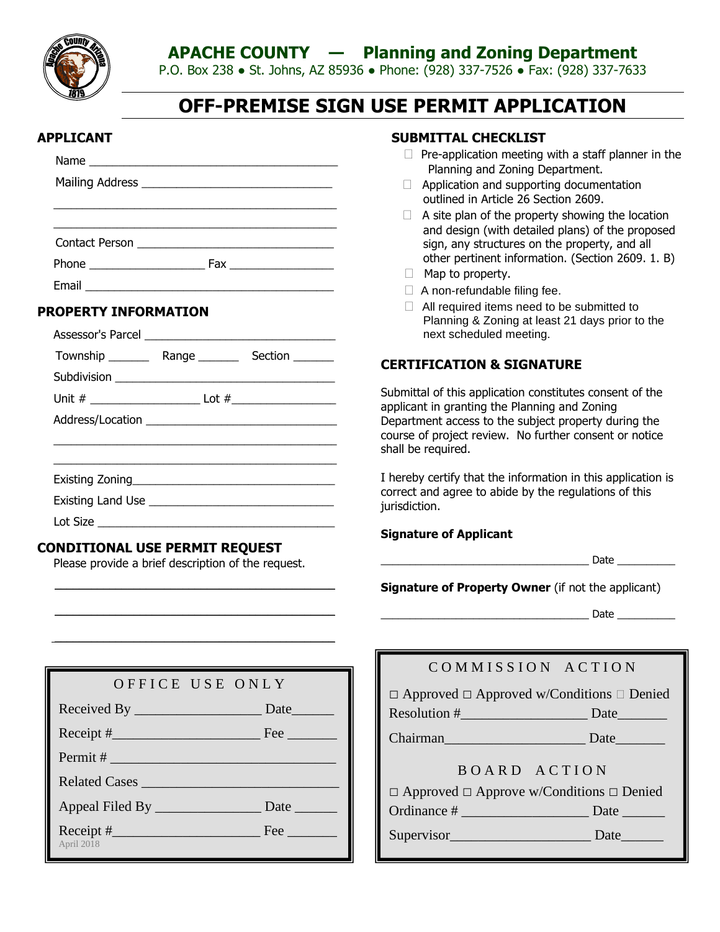

# **APACHE COUNTY — Planning and Zoning Department**

P.O. Box 238 ● St. Johns, AZ 85936 ● Phone: (928) 337-7526 ● Fax: (928) 337-7633

# **OFF-PREMISE SIGN USE PERMIT APPLICATION**

#### **APPLICANT**

| Email <u>_____________________</u> |  |
|------------------------------------|--|
|                                    |  |

#### **PROPERTY INFORMATION**

| Assessor's Parcel |       |         |
|-------------------|-------|---------|
| Township          | Range | Section |

Subdivision \_\_\_\_\_\_\_\_\_\_\_\_\_\_\_\_\_\_\_\_\_\_\_\_\_\_\_\_\_\_\_\_\_\_\_\_\_\_

 $\frac{1}{2}$  ,  $\frac{1}{2}$  ,  $\frac{1}{2}$  ,  $\frac{1}{2}$  ,  $\frac{1}{2}$  ,  $\frac{1}{2}$  ,  $\frac{1}{2}$  ,  $\frac{1}{2}$  ,  $\frac{1}{2}$  ,  $\frac{1}{2}$  ,  $\frac{1}{2}$  ,  $\frac{1}{2}$  ,  $\frac{1}{2}$  ,  $\frac{1}{2}$  ,  $\frac{1}{2}$  ,  $\frac{1}{2}$  ,  $\frac{1}{2}$  ,  $\frac{1}{2}$  ,  $\frac{1$  $\mathcal{L} = \{ \mathcal{L}_1, \mathcal{L}_2, \ldots, \mathcal{L}_n, \mathcal{L}_n, \mathcal{L}_n, \ldots, \mathcal{L}_n, \mathcal{L}_n, \mathcal{L}_n, \mathcal{L}_n, \mathcal{L}_n, \mathcal{L}_n, \mathcal{L}_n, \mathcal{L}_n, \mathcal{L}_n, \mathcal{L}_n, \mathcal{L}_n, \mathcal{L}_n, \mathcal{L}_n, \mathcal{L}_n, \mathcal{L}_n, \mathcal{L}_n, \mathcal{L}_n, \mathcal{L}_n, \mathcal{L}_n, \mathcal{L}_n, \mathcal$ 

| Unit # | Lot $#$ |
|--------|---------|

Address/Location \_\_\_\_\_\_\_\_\_\_\_\_\_\_\_\_\_\_\_\_\_\_\_\_\_\_\_\_\_\_\_\_\_

Existing Zoning\_\_\_\_\_\_\_\_\_\_\_\_\_\_\_\_\_\_\_\_\_\_\_\_\_\_\_\_\_\_\_\_\_\_\_

Existing Land Use \_\_\_\_\_\_\_\_\_\_\_\_\_\_\_\_\_\_\_\_\_\_\_\_\_\_\_\_\_\_\_\_

Lot Size \_\_\_\_\_\_\_\_\_\_\_\_\_\_\_\_\_\_\_\_\_\_\_\_\_\_\_\_\_\_\_\_\_\_\_\_\_\_\_\_\_

#### **CONDITIONAL USE PERMIT REQUEST**

Please provide a brief description of the request.

 $\mathcal{L}=\frac{1}{2} \sum_{i=1}^{n} \frac{1}{2} \sum_{i=1}^{n} \frac{1}{2} \sum_{i=1}^{n} \frac{1}{2} \sum_{i=1}^{n} \frac{1}{2} \sum_{i=1}^{n} \frac{1}{2} \sum_{i=1}^{n} \frac{1}{2} \sum_{i=1}^{n} \frac{1}{2} \sum_{i=1}^{n} \frac{1}{2} \sum_{i=1}^{n} \frac{1}{2} \sum_{i=1}^{n} \frac{1}{2} \sum_{i=1}^{n} \frac{1}{2} \sum_{i=1}^{n} \frac{1}{2} \sum_{$ 

 $\mathcal{L}=\frac{1}{2} \sum_{i=1}^{n} \frac{1}{2} \sum_{i=1}^{n} \frac{1}{2} \sum_{i=1}^{n} \frac{1}{2} \sum_{i=1}^{n} \frac{1}{2} \sum_{i=1}^{n} \frac{1}{2} \sum_{i=1}^{n} \frac{1}{2} \sum_{i=1}^{n} \frac{1}{2} \sum_{i=1}^{n} \frac{1}{2} \sum_{i=1}^{n} \frac{1}{2} \sum_{i=1}^{n} \frac{1}{2} \sum_{i=1}^{n} \frac{1}{2} \sum_{i=1}^{n} \frac{1}{2} \sum_{$ 

 $\mathcal{L}_\text{max} = \mathcal{L}_\text{max} = \mathcal{L}_\text{max} = \mathcal{L}_\text{max} = \mathcal{L}_\text{max} = \mathcal{L}_\text{max} = \mathcal{L}_\text{max} = \mathcal{L}_\text{max} = \mathcal{L}_\text{max} = \mathcal{L}_\text{max} = \mathcal{L}_\text{max} = \mathcal{L}_\text{max} = \mathcal{L}_\text{max} = \mathcal{L}_\text{max} = \mathcal{L}_\text{max} = \mathcal{L}_\text{max} = \mathcal{L}_\text{max} = \mathcal{L}_\text{max} = \mathcal{$ 

#### **SUBMITTAL CHECKLIST**

- **Pre-application meeting with a staff planner in the** Planning and Zoning Department.
- $\Box$  Application and supporting documentation outlined in Article 26 Section 2609.
- $\Box$  A site plan of the property showing the location and design (with detailed plans) of the proposed sign, any structures on the property, and all other pertinent information. (Section 2609. 1. B)
- $\Box$  Map to property.
- □ A non-refundable filing fee.
- □ All required items need to be submitted to Planning & Zoning at least 21 days prior to the next scheduled meeting.

#### **CERTIFICATION & SIGNATURE**

Submittal of this application constitutes consent of the applicant in granting the Planning and Zoning Department access to the subject property during the course of project review. No further consent or notice shall be required.

I hereby certify that the information in this application is correct and agree to abide by the regulations of this jurisdiction.

#### **Signature of Applicant**

\_\_\_\_\_\_\_\_\_\_\_\_\_\_\_\_\_\_\_\_\_\_\_\_\_\_\_\_\_\_\_\_\_\_\_\_ Date \_\_\_\_\_\_\_\_\_\_

**Signature of Property Owner** (if not the applicant)

 $\Box$  denote the contract of  $\Box$  denote  $\Box$   $\Box$ 

| OFFICE USE ONLY |      |
|-----------------|------|
|                 | Date |
|                 |      |
| Permit #        |      |
|                 |      |
|                 |      |
| April 2018      |      |

## COMMISSION ACTION

| $\Box$ Approved $\Box$ Approved w/Conditions $\Box$ Denied |  |  |
|------------------------------------------------------------|--|--|
|------------------------------------------------------------|--|--|

| Resolution # |  | Date |
|--------------|--|------|
|--------------|--|------|

Chairman Date

#### BOARD ACTION

□ Approved □ Approve w/Conditions □ Denied

Ordinance # \_\_\_\_\_\_\_\_\_\_\_\_\_\_\_\_\_\_ Date \_\_\_\_\_\_

Supervisor\_\_\_\_\_\_\_\_\_\_\_\_\_\_\_\_\_\_\_\_ Date\_\_\_\_\_\_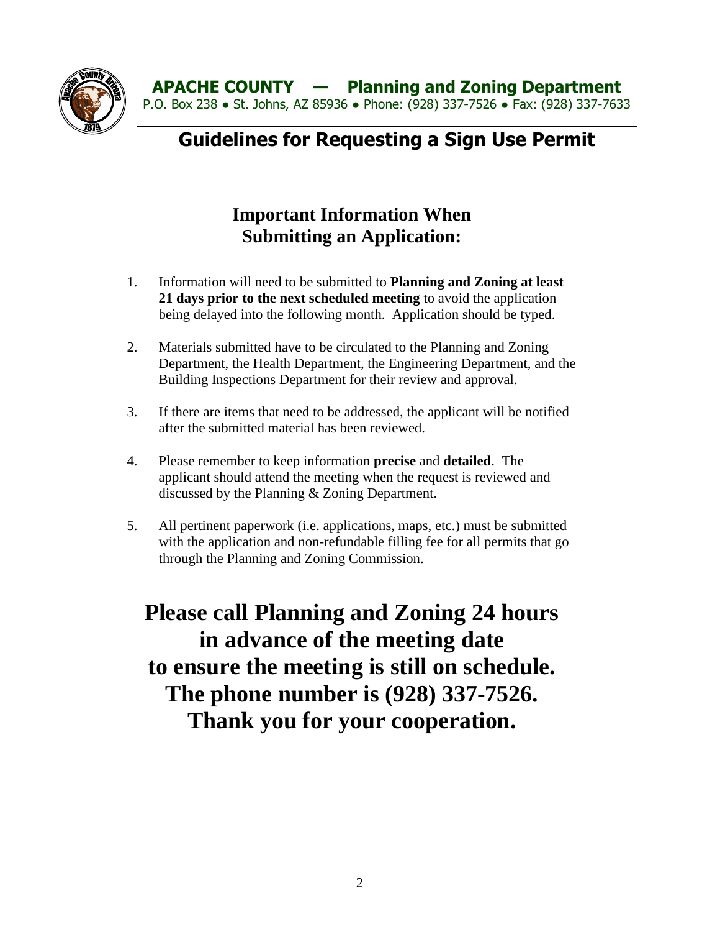

# **Guidelines for Requesting a Sign Use Permit**

# **Important Information When Submitting an Application:**

- 1. Information will need to be submitted to **Planning and Zoning at least 21 days prior to the next scheduled meeting** to avoid the application being delayed into the following month. Application should be typed.
- 2. Materials submitted have to be circulated to the Planning and Zoning Department, the Health Department, the Engineering Department, and the Building Inspections Department for their review and approval.
- 3. If there are items that need to be addressed, the applicant will be notified after the submitted material has been reviewed.
- 4. Please remember to keep information **precise** and **detailed**. The applicant should attend the meeting when the request is reviewed and discussed by the Planning & Zoning Department.
- 5. All pertinent paperwork (i.e. applications, maps, etc.) must be submitted with the application and non-refundable filling fee for all permits that go through the Planning and Zoning Commission.

**Please call Planning and Zoning 24 hours in advance of the meeting date to ensure the meeting is still on schedule. The phone number is (928) 337-7526. Thank you for your cooperation.**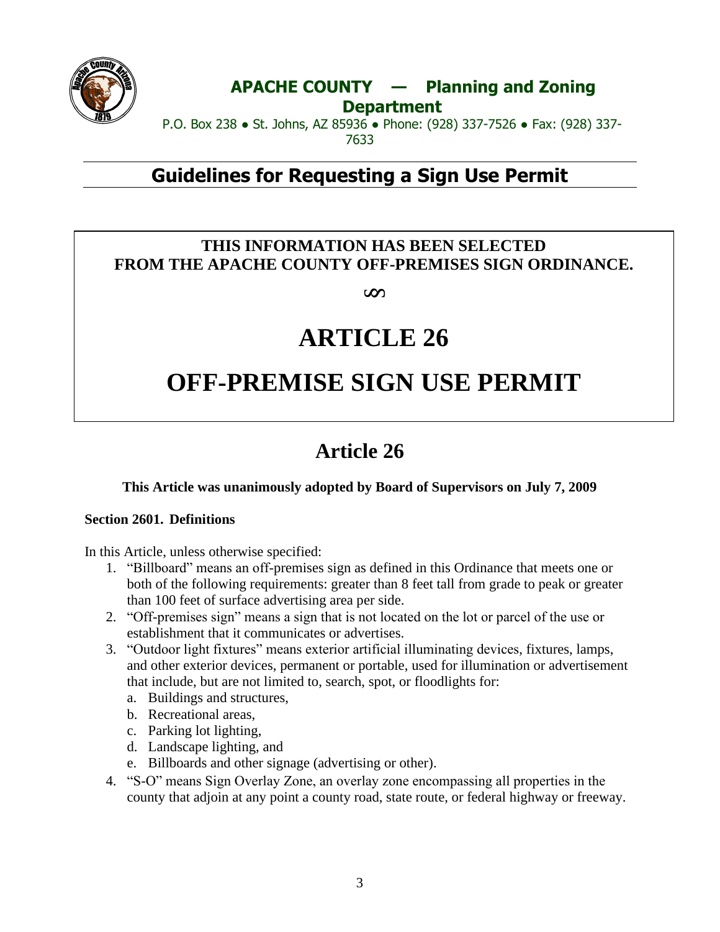

# **APACHE COUNTY — Planning and Zoning Department**

P.O. Box 238 ● St. Johns, AZ 85936 ● Phone: (928) 337-7526 ● Fax: (928) 337- 7633

# **Guidelines for Requesting a Sign Use Permit**

## **THIS INFORMATION HAS BEEN SELECTED FROM THE APACHE COUNTY OFF-PREMISES SIGN ORDINANCE.**

§

# **ARTICLE 26**

# **OFF-PREMISE SIGN USE PERMIT**

# **Article 26**

## **This Article was unanimously adopted by Board of Supervisors on July 7, 2009**

#### **Section 2601. Definitions**

In this Article, unless otherwise specified:

- 1. "Billboard" means an off-premises sign as defined in this Ordinance that meets one or both of the following requirements: greater than 8 feet tall from grade to peak or greater than 100 feet of surface advertising area per side.
- 2. "Off-premises sign" means a sign that is not located on the lot or parcel of the use or establishment that it communicates or advertises.
- 3. "Outdoor light fixtures" means exterior artificial illuminating devices, fixtures, lamps, and other exterior devices, permanent or portable, used for illumination or advertisement that include, but are not limited to, search, spot, or floodlights for:
	- a. Buildings and structures,
	- b. Recreational areas,
	- c. Parking lot lighting,
	- d. Landscape lighting, and
	- e. Billboards and other signage (advertising or other).
- 4. "S-O" means Sign Overlay Zone, an overlay zone encompassing all properties in the county that adjoin at any point a county road, state route, or federal highway or freeway.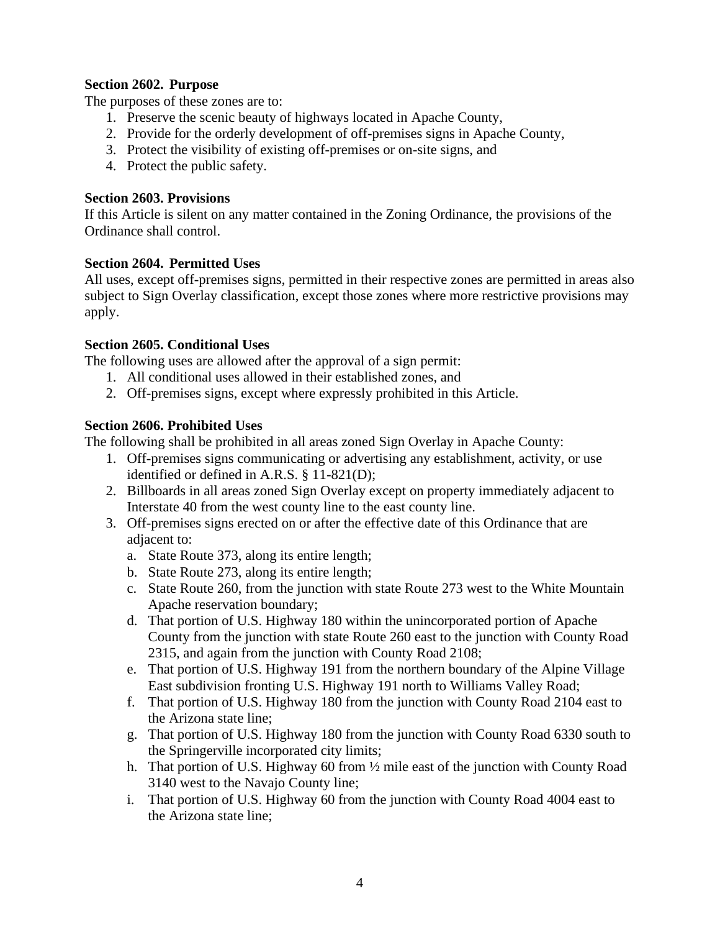### **Section 2602. Purpose**

The purposes of these zones are to:

- 1. Preserve the scenic beauty of highways located in Apache County,
- 2. Provide for the orderly development of off-premises signs in Apache County,
- 3. Protect the visibility of existing off-premises or on-site signs, and
- 4. Protect the public safety.

#### **Section 2603. Provisions**

If this Article is silent on any matter contained in the Zoning Ordinance, the provisions of the Ordinance shall control.

## **Section 2604. Permitted Uses**

All uses, except off-premises signs, permitted in their respective zones are permitted in areas also subject to Sign Overlay classification, except those zones where more restrictive provisions may apply.

#### **Section 2605. Conditional Uses**

The following uses are allowed after the approval of a sign permit:

- 1. All conditional uses allowed in their established zones, and
- 2. Off-premises signs, except where expressly prohibited in this Article.

## **Section 2606. Prohibited Uses**

The following shall be prohibited in all areas zoned Sign Overlay in Apache County:

- 1. Off-premises signs communicating or advertising any establishment, activity, or use identified or defined in A.R.S. § 11-821(D);
- 2. Billboards in all areas zoned Sign Overlay except on property immediately adjacent to Interstate 40 from the west county line to the east county line.
- 3. Off-premises signs erected on or after the effective date of this Ordinance that are adjacent to:
	- a. State Route 373, along its entire length;
	- b. State Route 273, along its entire length;
	- c. State Route 260, from the junction with state Route 273 west to the White Mountain Apache reservation boundary;
	- d. That portion of U.S. Highway 180 within the unincorporated portion of Apache County from the junction with state Route 260 east to the junction with County Road 2315, and again from the junction with County Road 2108;
	- e. That portion of U.S. Highway 191 from the northern boundary of the Alpine Village East subdivision fronting U.S. Highway 191 north to Williams Valley Road;
	- f. That portion of U.S. Highway 180 from the junction with County Road 2104 east to the Arizona state line;
	- g. That portion of U.S. Highway 180 from the junction with County Road 6330 south to the Springerville incorporated city limits;
	- h. That portion of U.S. Highway 60 from ½ mile east of the junction with County Road 3140 west to the Navajo County line;
	- i. That portion of U.S. Highway 60 from the junction with County Road 4004 east to the Arizona state line;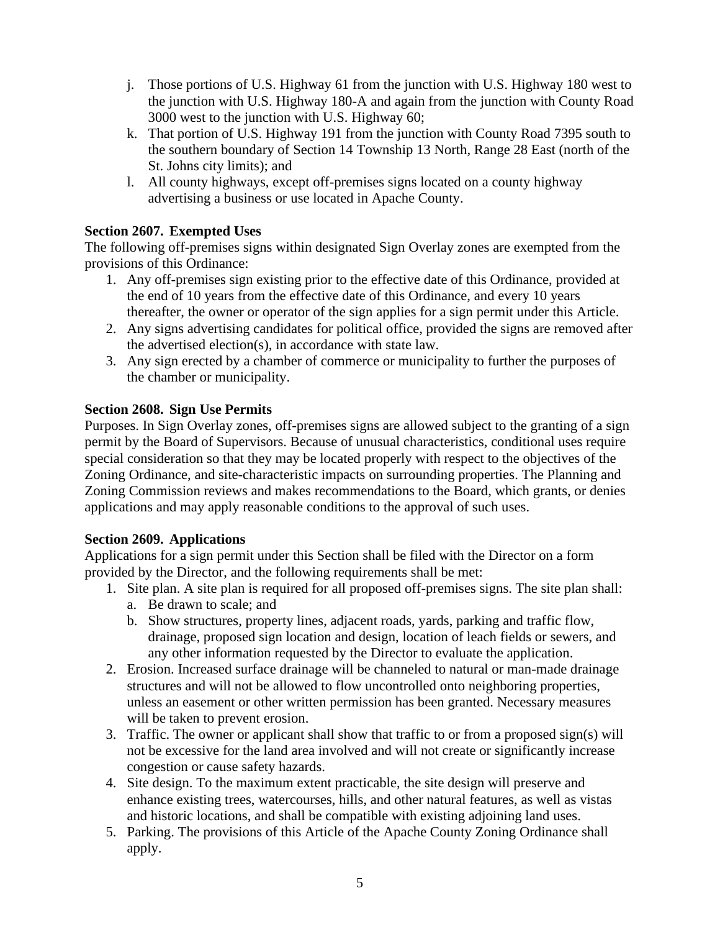- j. Those portions of U.S. Highway 61 from the junction with U.S. Highway 180 west to the junction with U.S. Highway 180-A and again from the junction with County Road 3000 west to the junction with U.S. Highway 60;
- k. That portion of U.S. Highway 191 from the junction with County Road 7395 south to the southern boundary of Section 14 Township 13 North, Range 28 East (north of the St. Johns city limits); and
- l. All county highways, except off-premises signs located on a county highway advertising a business or use located in Apache County.

## **Section 2607. Exempted Uses**

The following off-premises signs within designated Sign Overlay zones are exempted from the provisions of this Ordinance:

- 1. Any off-premises sign existing prior to the effective date of this Ordinance, provided at the end of 10 years from the effective date of this Ordinance, and every 10 years thereafter, the owner or operator of the sign applies for a sign permit under this Article.
- 2. Any signs advertising candidates for political office, provided the signs are removed after the advertised election(s), in accordance with state law.
- 3. Any sign erected by a chamber of commerce or municipality to further the purposes of the chamber or municipality.

#### **Section 2608. Sign Use Permits**

Purposes. In Sign Overlay zones, off-premises signs are allowed subject to the granting of a sign permit by the Board of Supervisors. Because of unusual characteristics, conditional uses require special consideration so that they may be located properly with respect to the objectives of the Zoning Ordinance, and site-characteristic impacts on surrounding properties. The Planning and Zoning Commission reviews and makes recommendations to the Board, which grants, or denies applications and may apply reasonable conditions to the approval of such uses.

#### **Section 2609. Applications**

Applications for a sign permit under this Section shall be filed with the Director on a form provided by the Director, and the following requirements shall be met:

- 1. Site plan. A site plan is required for all proposed off-premises signs. The site plan shall:
	- a. Be drawn to scale; and
	- b. Show structures, property lines, adjacent roads, yards, parking and traffic flow, drainage, proposed sign location and design, location of leach fields or sewers, and any other information requested by the Director to evaluate the application.
- 2. Erosion. Increased surface drainage will be channeled to natural or man-made drainage structures and will not be allowed to flow uncontrolled onto neighboring properties, unless an easement or other written permission has been granted. Necessary measures will be taken to prevent erosion.
- 3. Traffic. The owner or applicant shall show that traffic to or from a proposed sign(s) will not be excessive for the land area involved and will not create or significantly increase congestion or cause safety hazards.
- 4. Site design. To the maximum extent practicable, the site design will preserve and enhance existing trees, watercourses, hills, and other natural features, as well as vistas and historic locations, and shall be compatible with existing adjoining land uses.
- 5. Parking. The provisions of this Article of the Apache County Zoning Ordinance shall apply.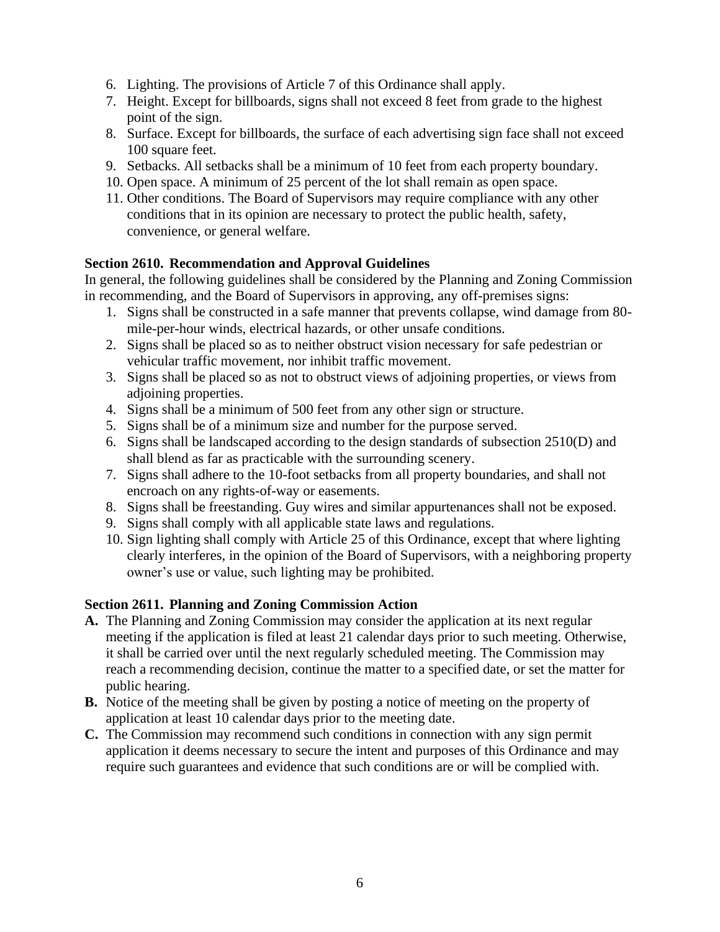- 6. Lighting. The provisions of Article 7 of this Ordinance shall apply.
- 7. Height. Except for billboards, signs shall not exceed 8 feet from grade to the highest point of the sign.
- 8. Surface. Except for billboards, the surface of each advertising sign face shall not exceed 100 square feet.
- 9. Setbacks. All setbacks shall be a minimum of 10 feet from each property boundary.
- 10. Open space. A minimum of 25 percent of the lot shall remain as open space.
- 11. Other conditions. The Board of Supervisors may require compliance with any other conditions that in its opinion are necessary to protect the public health, safety, convenience, or general welfare.

#### **Section 2610. Recommendation and Approval Guidelines**

In general, the following guidelines shall be considered by the Planning and Zoning Commission in recommending, and the Board of Supervisors in approving, any off-premises signs:

- 1. Signs shall be constructed in a safe manner that prevents collapse, wind damage from 80 mile-per-hour winds, electrical hazards, or other unsafe conditions.
- 2. Signs shall be placed so as to neither obstruct vision necessary for safe pedestrian or vehicular traffic movement, nor inhibit traffic movement.
- 3. Signs shall be placed so as not to obstruct views of adjoining properties, or views from adjoining properties.
- 4. Signs shall be a minimum of 500 feet from any other sign or structure.
- 5. Signs shall be of a minimum size and number for the purpose served.
- 6. Signs shall be landscaped according to the design standards of subsection 2510(D) and shall blend as far as practicable with the surrounding scenery.
- 7. Signs shall adhere to the 10-foot setbacks from all property boundaries, and shall not encroach on any rights-of-way or easements.
- 8. Signs shall be freestanding. Guy wires and similar appurtenances shall not be exposed.
- 9. Signs shall comply with all applicable state laws and regulations.
- 10. Sign lighting shall comply with Article 25 of this Ordinance, except that where lighting clearly interferes, in the opinion of the Board of Supervisors, with a neighboring property owner's use or value, such lighting may be prohibited.

#### **Section 2611. Planning and Zoning Commission Action**

- **A.** The Planning and Zoning Commission may consider the application at its next regular meeting if the application is filed at least 21 calendar days prior to such meeting. Otherwise, it shall be carried over until the next regularly scheduled meeting. The Commission may reach a recommending decision, continue the matter to a specified date, or set the matter for public hearing.
- **B.** Notice of the meeting shall be given by posting a notice of meeting on the property of application at least 10 calendar days prior to the meeting date.
- **C.** The Commission may recommend such conditions in connection with any sign permit application it deems necessary to secure the intent and purposes of this Ordinance and may require such guarantees and evidence that such conditions are or will be complied with.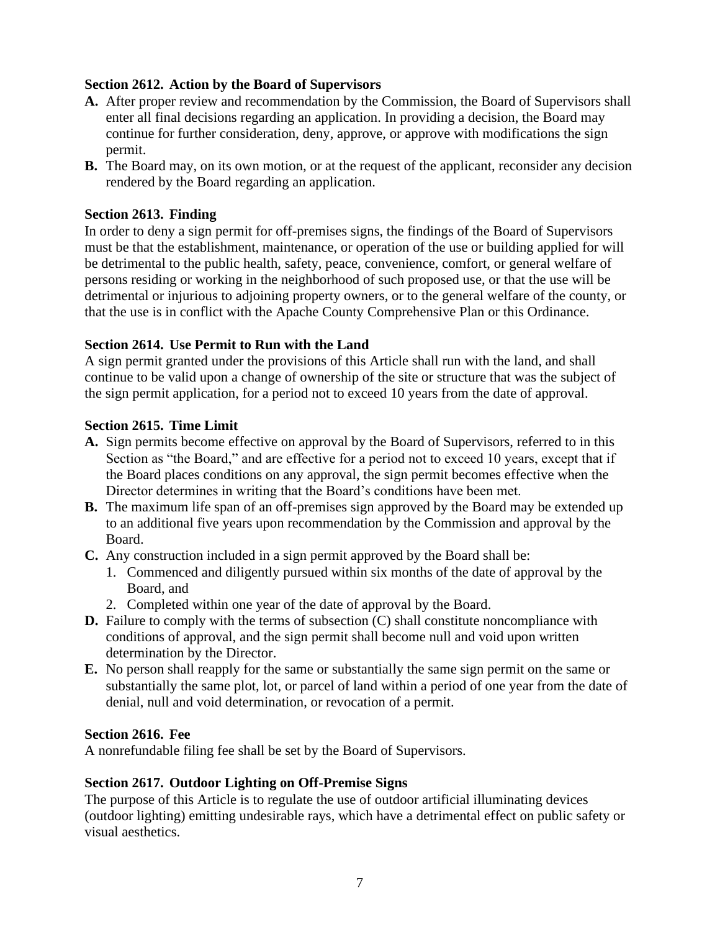### **Section 2612. Action by the Board of Supervisors**

- **A.** After proper review and recommendation by the Commission, the Board of Supervisors shall enter all final decisions regarding an application. In providing a decision, the Board may continue for further consideration, deny, approve, or approve with modifications the sign permit.
- **B.** The Board may, on its own motion, or at the request of the applicant, reconsider any decision rendered by the Board regarding an application.

#### **Section 2613. Finding**

In order to deny a sign permit for off-premises signs, the findings of the Board of Supervisors must be that the establishment, maintenance, or operation of the use or building applied for will be detrimental to the public health, safety, peace, convenience, comfort, or general welfare of persons residing or working in the neighborhood of such proposed use, or that the use will be detrimental or injurious to adjoining property owners, or to the general welfare of the county, or that the use is in conflict with the Apache County Comprehensive Plan or this Ordinance.

#### **Section 2614. Use Permit to Run with the Land**

A sign permit granted under the provisions of this Article shall run with the land, and shall continue to be valid upon a change of ownership of the site or structure that was the subject of the sign permit application, for a period not to exceed 10 years from the date of approval.

#### **Section 2615. Time Limit**

- **A.** Sign permits become effective on approval by the Board of Supervisors, referred to in this Section as "the Board," and are effective for a period not to exceed 10 years, except that if the Board places conditions on any approval, the sign permit becomes effective when the Director determines in writing that the Board's conditions have been met.
- **B.** The maximum life span of an off-premises sign approved by the Board may be extended up to an additional five years upon recommendation by the Commission and approval by the Board.
- **C.** Any construction included in a sign permit approved by the Board shall be:
	- 1. Commenced and diligently pursued within six months of the date of approval by the Board, and
	- 2. Completed within one year of the date of approval by the Board.
- **D.** Failure to comply with the terms of subsection (C) shall constitute noncompliance with conditions of approval, and the sign permit shall become null and void upon written determination by the Director.
- **E.** No person shall reapply for the same or substantially the same sign permit on the same or substantially the same plot, lot, or parcel of land within a period of one year from the date of denial, null and void determination, or revocation of a permit.

#### **Section 2616. Fee**

A nonrefundable filing fee shall be set by the Board of Supervisors.

#### **Section 2617. Outdoor Lighting on Off-Premise Signs**

The purpose of this Article is to regulate the use of outdoor artificial illuminating devices (outdoor lighting) emitting undesirable rays, which have a detrimental effect on public safety or visual aesthetics.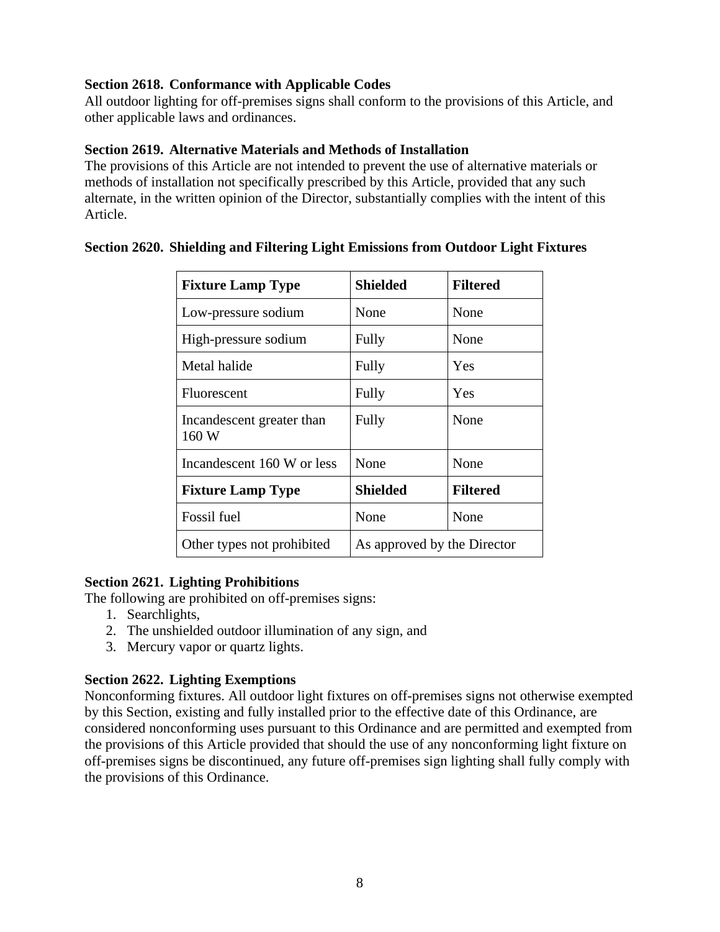## **Section 2618. Conformance with Applicable Codes**

All outdoor lighting for off-premises signs shall conform to the provisions of this Article, and other applicable laws and ordinances.

#### **Section 2619. Alternative Materials and Methods of Installation**

The provisions of this Article are not intended to prevent the use of alternative materials or methods of installation not specifically prescribed by this Article, provided that any such alternate, in the written opinion of the Director, substantially complies with the intent of this Article.

| <b>Fixture Lamp Type</b>           | <b>Shielded</b>             | <b>Filtered</b> |
|------------------------------------|-----------------------------|-----------------|
| Low-pressure sodium                | None                        | None            |
| High-pressure sodium               | Fully                       | None            |
| Metal halide                       | Fully                       | Yes             |
| Fluorescent                        | Fully                       | Yes             |
| Incandescent greater than<br>160 W | Fully                       | None            |
| Incandescent 160 W or less         | None                        | None            |
| <b>Fixture Lamp Type</b>           | Shielded                    | <b>Filtered</b> |
| Fossil fuel                        | None                        | None            |
| Other types not prohibited         | As approved by the Director |                 |

#### **Section 2620. Shielding and Filtering Light Emissions from Outdoor Light Fixtures**

#### **Section 2621. Lighting Prohibitions**

The following are prohibited on off-premises signs:

- 1. Searchlights,
- 2. The unshielded outdoor illumination of any sign, and
- 3. Mercury vapor or quartz lights.

#### **Section 2622. Lighting Exemptions**

Nonconforming fixtures. All outdoor light fixtures on off-premises signs not otherwise exempted by this Section, existing and fully installed prior to the effective date of this Ordinance, are considered nonconforming uses pursuant to this Ordinance and are permitted and exempted from the provisions of this Article provided that should the use of any nonconforming light fixture on off-premises signs be discontinued, any future off-premises sign lighting shall fully comply with the provisions of this Ordinance.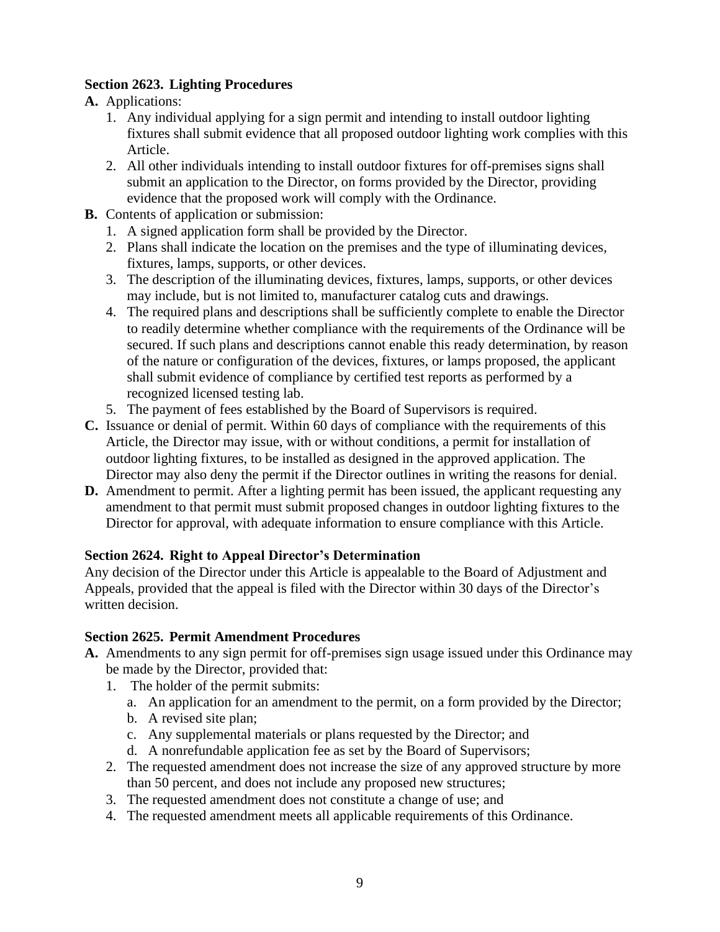## **Section 2623. Lighting Procedures**

### **A.** Applications:

- 1. Any individual applying for a sign permit and intending to install outdoor lighting fixtures shall submit evidence that all proposed outdoor lighting work complies with this Article.
- 2. All other individuals intending to install outdoor fixtures for off-premises signs shall submit an application to the Director, on forms provided by the Director, providing evidence that the proposed work will comply with the Ordinance.
- **B.** Contents of application or submission:
	- 1. A signed application form shall be provided by the Director.
	- 2. Plans shall indicate the location on the premises and the type of illuminating devices, fixtures, lamps, supports, or other devices.
	- 3. The description of the illuminating devices, fixtures, lamps, supports, or other devices may include, but is not limited to, manufacturer catalog cuts and drawings.
	- 4. The required plans and descriptions shall be sufficiently complete to enable the Director to readily determine whether compliance with the requirements of the Ordinance will be secured. If such plans and descriptions cannot enable this ready determination, by reason of the nature or configuration of the devices, fixtures, or lamps proposed, the applicant shall submit evidence of compliance by certified test reports as performed by a recognized licensed testing lab.
	- 5. The payment of fees established by the Board of Supervisors is required.
- **C.** Issuance or denial of permit. Within 60 days of compliance with the requirements of this Article, the Director may issue, with or without conditions, a permit for installation of outdoor lighting fixtures, to be installed as designed in the approved application. The Director may also deny the permit if the Director outlines in writing the reasons for denial.
- **D.** Amendment to permit. After a lighting permit has been issued, the applicant requesting any amendment to that permit must submit proposed changes in outdoor lighting fixtures to the Director for approval, with adequate information to ensure compliance with this Article.

#### **Section 2624. Right to Appeal Director's Determination**

Any decision of the Director under this Article is appealable to the Board of Adjustment and Appeals, provided that the appeal is filed with the Director within 30 days of the Director's written decision.

#### **Section 2625. Permit Amendment Procedures**

- **A.** Amendments to any sign permit for off-premises sign usage issued under this Ordinance may be made by the Director, provided that:
	- 1. The holder of the permit submits:
		- a. An application for an amendment to the permit, on a form provided by the Director;
		- b. A revised site plan;
		- c. Any supplemental materials or plans requested by the Director; and
		- d. A nonrefundable application fee as set by the Board of Supervisors;
	- 2. The requested amendment does not increase the size of any approved structure by more than 50 percent, and does not include any proposed new structures;
	- 3. The requested amendment does not constitute a change of use; and
	- 4. The requested amendment meets all applicable requirements of this Ordinance.